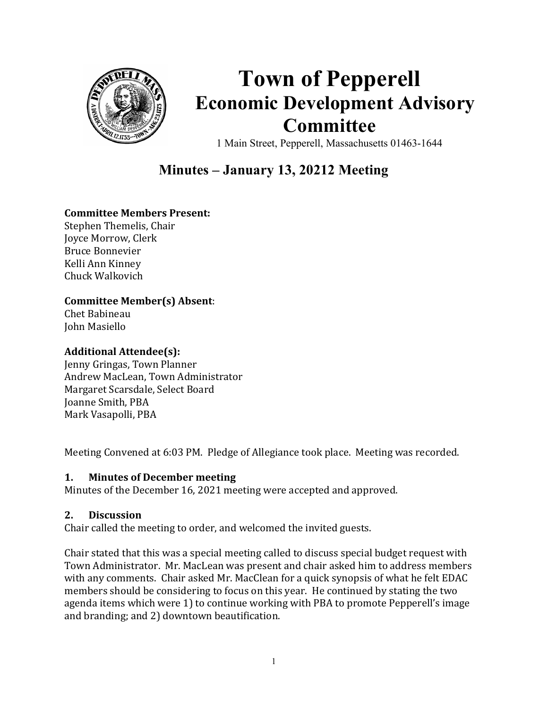

# Town of Pepperell Economic Development Advisory Committee

1 Main Street, Pepperell, Massachusetts 01463-1644

## Minutes – January 13, 20212 Meeting

#### Committee Members Present:

Stephen Themelis, Chair Joyce Morrow, Clerk Bruce Bonnevier Kelli Ann Kinney Chuck Walkovich

#### Committee Member(s) Absent:

Chet Babineau John Masiello

#### Additional Attendee(s):

Jenny Gringas, Town Planner Andrew MacLean, Town Administrator Margaret Scarsdale, Select Board Joanne Smith, PBA Mark Vasapolli, PBA

Meeting Convened at 6:03 PM. Pledge of Allegiance took place. Meeting was recorded.

#### 1. Minutes of December meeting

Minutes of the December 16, 2021 meeting were accepted and approved.

#### 2. Discussion

Chair called the meeting to order, and welcomed the invited guests.

Chair stated that this was a special meeting called to discuss special budget request with Town Administrator. Mr. MacLean was present and chair asked him to address members with any comments. Chair asked Mr. MacClean for a quick synopsis of what he felt EDAC members should be considering to focus on this year. He continued by stating the two agenda items which were 1) to continue working with PBA to promote Pepperell's image and branding; and 2) downtown beautification.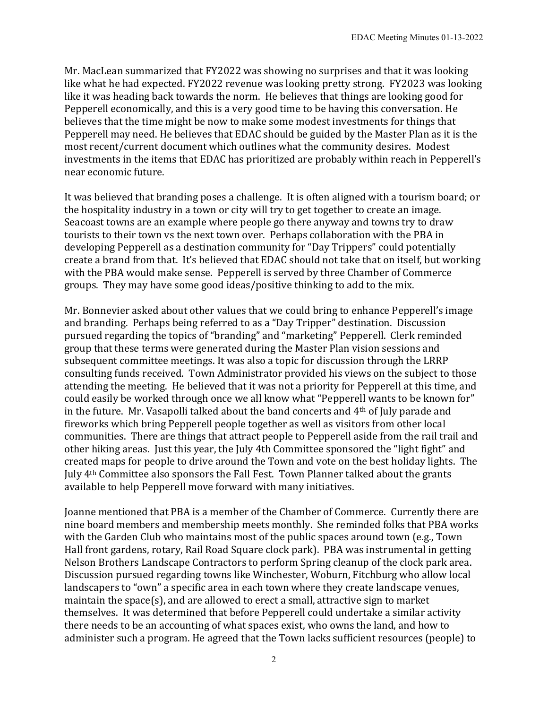Mr. MacLean summarized that FY2022 was showing no surprises and that it was looking like what he had expected. FY2022 revenue was looking pretty strong. FY2023 was looking like it was heading back towards the norm. He believes that things are looking good for Pepperell economically, and this is a very good time to be having this conversation. He believes that the time might be now to make some modest investments for things that Pepperell may need. He believes that EDAC should be guided by the Master Plan as it is the most recent/current document which outlines what the community desires. Modest investments in the items that EDAC has prioritized are probably within reach in Pepperell's near economic future.

It was believed that branding poses a challenge. It is often aligned with a tourism board; or the hospitality industry in a town or city will try to get together to create an image. Seacoast towns are an example where people go there anyway and towns try to draw tourists to their town vs the next town over. Perhaps collaboration with the PBA in developing Pepperell as a destination community for "Day Trippers" could potentially create a brand from that. It's believed that EDAC should not take that on itself, but working with the PBA would make sense. Pepperell is served by three Chamber of Commerce groups. They may have some good ideas/positive thinking to add to the mix.

Mr. Bonnevier asked about other values that we could bring to enhance Pepperell's image and branding. Perhaps being referred to as a "Day Tripper" destination. Discussion pursued regarding the topics of "branding" and "marketing" Pepperell. Clerk reminded group that these terms were generated during the Master Plan vision sessions and subsequent committee meetings. It was also a topic for discussion through the LRRP consulting funds received. Town Administrator provided his views on the subject to those attending the meeting. He believed that it was not a priority for Pepperell at this time, and could easily be worked through once we all know what "Pepperell wants to be known for" in the future. Mr. Vasapolli talked about the band concerts and 4th of July parade and fireworks which bring Pepperell people together as well as visitors from other local communities. There are things that attract people to Pepperell aside from the rail trail and other hiking areas. Just this year, the July 4th Committee sponsored the "light fight" and created maps for people to drive around the Town and vote on the best holiday lights. The July 4th Committee also sponsors the Fall Fest. Town Planner talked about the grants available to help Pepperell move forward with many initiatives.

Joanne mentioned that PBA is a member of the Chamber of Commerce. Currently there are nine board members and membership meets monthly. She reminded folks that PBA works with the Garden Club who maintains most of the public spaces around town (e.g., Town Hall front gardens, rotary, Rail Road Square clock park). PBA was instrumental in getting Nelson Brothers Landscape Contractors to perform Spring cleanup of the clock park area. Discussion pursued regarding towns like Winchester, Woburn, Fitchburg who allow local landscapers to "own" a specific area in each town where they create landscape venues, maintain the space(s), and are allowed to erect a small, attractive sign to market themselves. It was determined that before Pepperell could undertake a similar activity there needs to be an accounting of what spaces exist, who owns the land, and how to administer such a program. He agreed that the Town lacks sufficient resources (people) to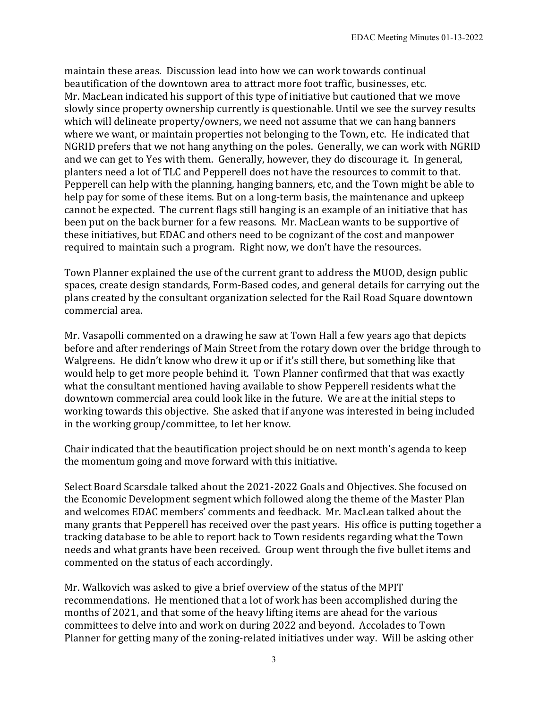maintain these areas. Discussion lead into how we can work towards continual beautification of the downtown area to attract more foot traffic, businesses, etc. Mr. MacLean indicated his support of this type of initiative but cautioned that we move slowly since property ownership currently is questionable. Until we see the survey results which will delineate property/owners, we need not assume that we can hang banners where we want, or maintain properties not belonging to the Town, etc. He indicated that NGRID prefers that we not hang anything on the poles. Generally, we can work with NGRID and we can get to Yes with them. Generally, however, they do discourage it. In general, planters need a lot of TLC and Pepperell does not have the resources to commit to that. Pepperell can help with the planning, hanging banners, etc, and the Town might be able to help pay for some of these items. But on a long-term basis, the maintenance and upkeep cannot be expected. The current flags still hanging is an example of an initiative that has been put on the back burner for a few reasons. Mr. MacLean wants to be supportive of these initiatives, but EDAC and others need to be cognizant of the cost and manpower required to maintain such a program. Right now, we don't have the resources.

Town Planner explained the use of the current grant to address the MUOD, design public spaces, create design standards, Form-Based codes, and general details for carrying out the plans created by the consultant organization selected for the Rail Road Square downtown commercial area.

Mr. Vasapolli commented on a drawing he saw at Town Hall a few years ago that depicts before and after renderings of Main Street from the rotary down over the bridge through to Walgreens. He didn't know who drew it up or if it's still there, but something like that would help to get more people behind it. Town Planner confirmed that that was exactly what the consultant mentioned having available to show Pepperell residents what the downtown commercial area could look like in the future. We are at the initial steps to working towards this objective. She asked that if anyone was interested in being included in the working group/committee, to let her know.

Chair indicated that the beautification project should be on next month's agenda to keep the momentum going and move forward with this initiative.

Select Board Scarsdale talked about the 2021-2022 Goals and Objectives. She focused on the Economic Development segment which followed along the theme of the Master Plan and welcomes EDAC members' comments and feedback. Mr. MacLean talked about the many grants that Pepperell has received over the past years. His office is putting together a tracking database to be able to report back to Town residents regarding what the Town needs and what grants have been received. Group went through the five bullet items and commented on the status of each accordingly.

Mr. Walkovich was asked to give a brief overview of the status of the MPIT recommendations. He mentioned that a lot of work has been accomplished during the months of 2021, and that some of the heavy lifting items are ahead for the various committees to delve into and work on during 2022 and beyond. Accolades to Town Planner for getting many of the zoning-related initiatives under way. Will be asking other